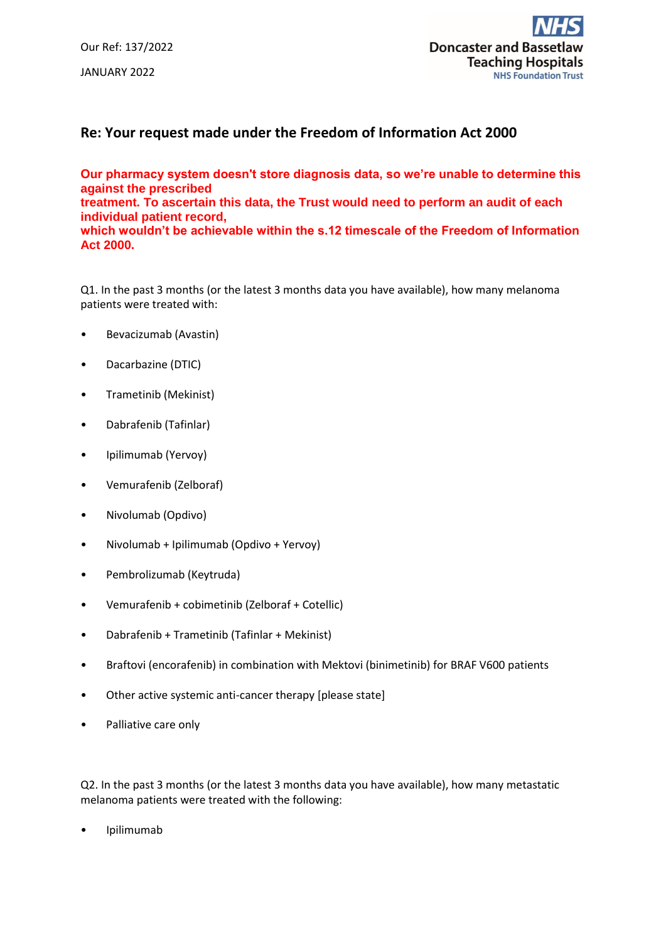Our Ref: 137/2022 JANUARY 2022



## **Re: Your request made under the Freedom of Information Act 2000**

**Our pharmacy system doesn't store diagnosis data, so we're unable to determine this against the prescribed treatment. To ascertain this data, the Trust would need to perform an audit of each individual patient record, which wouldn't be achievable within the s.12 timescale of the Freedom of Information Act 2000.**

Q1. In the past 3 months (or the latest 3 months data you have available), how many melanoma patients were treated with:

- Bevacizumab (Avastin)
- Dacarbazine (DTIC)
- Trametinib (Mekinist)
- Dabrafenib (Tafinlar)
- Ipilimumab (Yervoy)
- Vemurafenib (Zelboraf)
- Nivolumab (Opdivo)
- Nivolumab + Ipilimumab (Opdivo + Yervoy)
- Pembrolizumab (Keytruda)
- Vemurafenib + cobimetinib (Zelboraf + Cotellic)
- Dabrafenib + Trametinib (Tafinlar + Mekinist)
- Braftovi (encorafenib) in combination with Mektovi (binimetinib) for BRAF V600 patients
- Other active systemic anti-cancer therapy [please state]
- Palliative care only

Q2. In the past 3 months (or the latest 3 months data you have available), how many metastatic melanoma patients were treated with the following:

• Ipilimumab